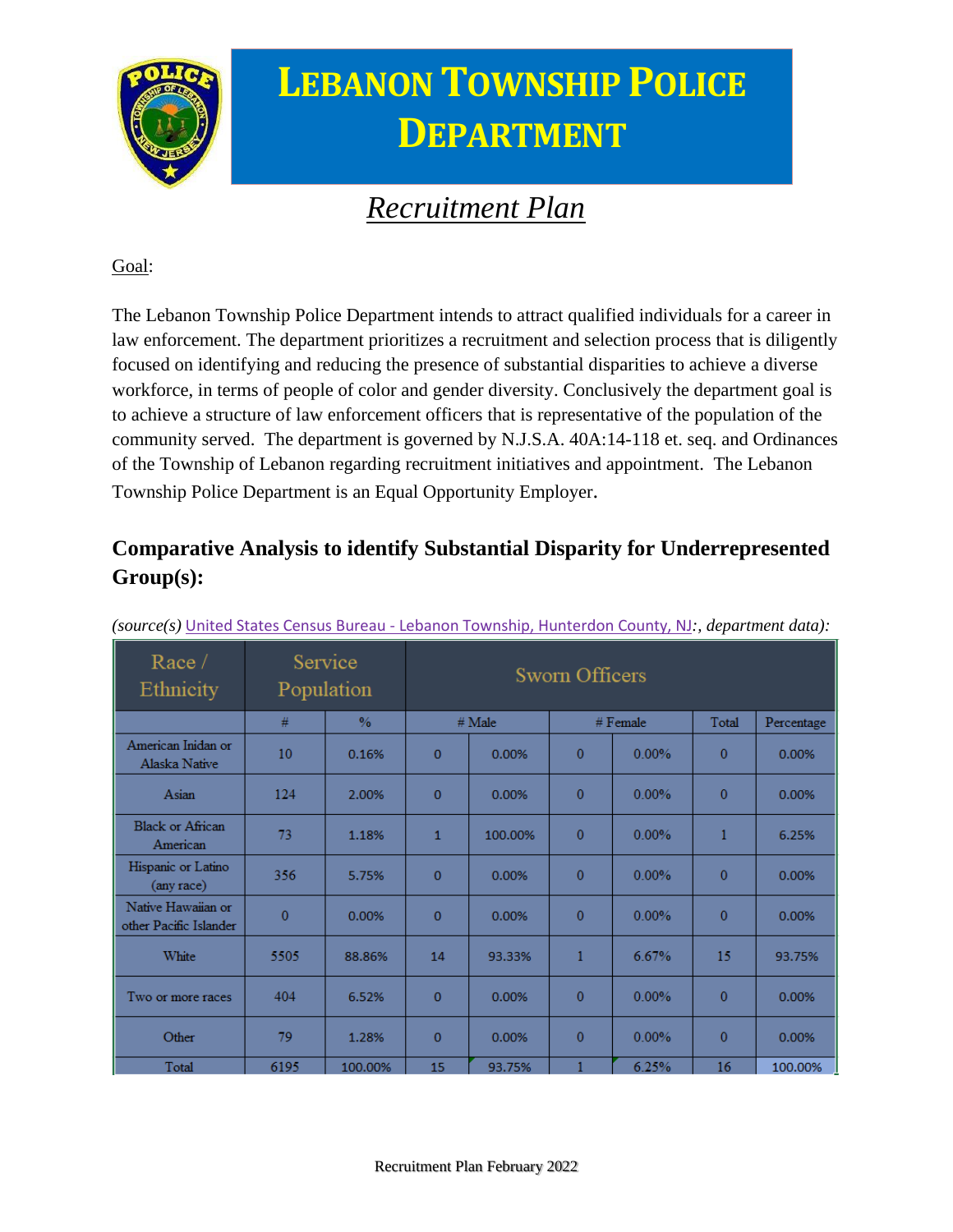

### **LEBANON TOWNSHIP POLICE DEPARTMENT**

### *Recruitment Plan*

Goal:

The Lebanon Township Police Department intends to attract qualified individuals for a career in law enforcement. The department prioritizes a recruitment and selection process that is diligently focused on identifying and reducing the presence of substantial disparities to achieve a diverse workforce, in terms of people of color and gender diversity. Conclusively the department goal is to achieve a structure of law enforcement officers that is representative of the population of the community served. The department is governed by N.J.S.A. 40A:14-118 et. seq. and Ordinances of the Township of Lebanon regarding recruitment initiatives and appointment. The Lebanon Township Police Department is an Equal Opportunity Employer.

#### **Comparative Analysis to identify Substantial Disparity for Underrepresented Group(s):**

| Race/<br>Ethnicity                           | Service<br>Population |               | <b>Sworn Officers</b> |         |                |          |              |            |
|----------------------------------------------|-----------------------|---------------|-----------------------|---------|----------------|----------|--------------|------------|
|                                              | #                     | $\frac{0}{6}$ | $#$ Male              |         | $#$ Female     |          | Total        | Percentage |
| American Inidan or<br>Alaska Native          | 10                    | 0.16%         | $\bf{0}$              | 0.00%   | $\bf{0}$       | $0.00\%$ | $\Omega$     | 0.00%      |
| Asian                                        | 124                   | 2.00%         | $\mathbf 0$           | 0.00%   | $\bf{0}$       | $0.00\%$ | $\Omega$     | 0.00%      |
| <b>Black or African</b><br>American          | 73                    | 1.18%         | $\mathbf{1}$          | 100.00% | $\overline{0}$ | 0.00%    | 1            | 6.25%      |
| Hispanic or Latino<br>(any race)             | 356                   | 5.75%         | $\mathbf{0}$          | 0.00%   | 0              | $0.00\%$ | $\Omega$     | 0.00%      |
| Native Hawaiian or<br>other Pacific Islander | $\overline{0}$        | 0.00%         | $\mathbf 0$           | 0.00%   | $\bf{0}$       | $0.00\%$ | $\mathbf{0}$ | 0.00%      |
| White                                        | 5505                  | 88.86%        | 14                    | 93.33%  | 1              | 6.67%    | 15           | 93.75%     |
| Two or more races                            | 404                   | 6.52%         | $\mathbf 0$           | 0.00%   | $\bf{0}$       | $0.00\%$ | $\bf{0}$     | 0.00%      |
| Other                                        | 79                    | 1.28%         | $\mathbf{0}$          | 0.00%   | 0              | $0.00\%$ | $\Omega$     | 0.00%      |
| Total                                        | 6195                  | 100.00%       | 15                    | 93.75%  |                | 6.25%    | 16           | 100.00%    |

*(source(s)* United States Census Bureau - [Lebanon Township, Hunterdon County, NJ](https://data.census.gov/cedsci/profile?g=0600000US3401939660)*:, department data):*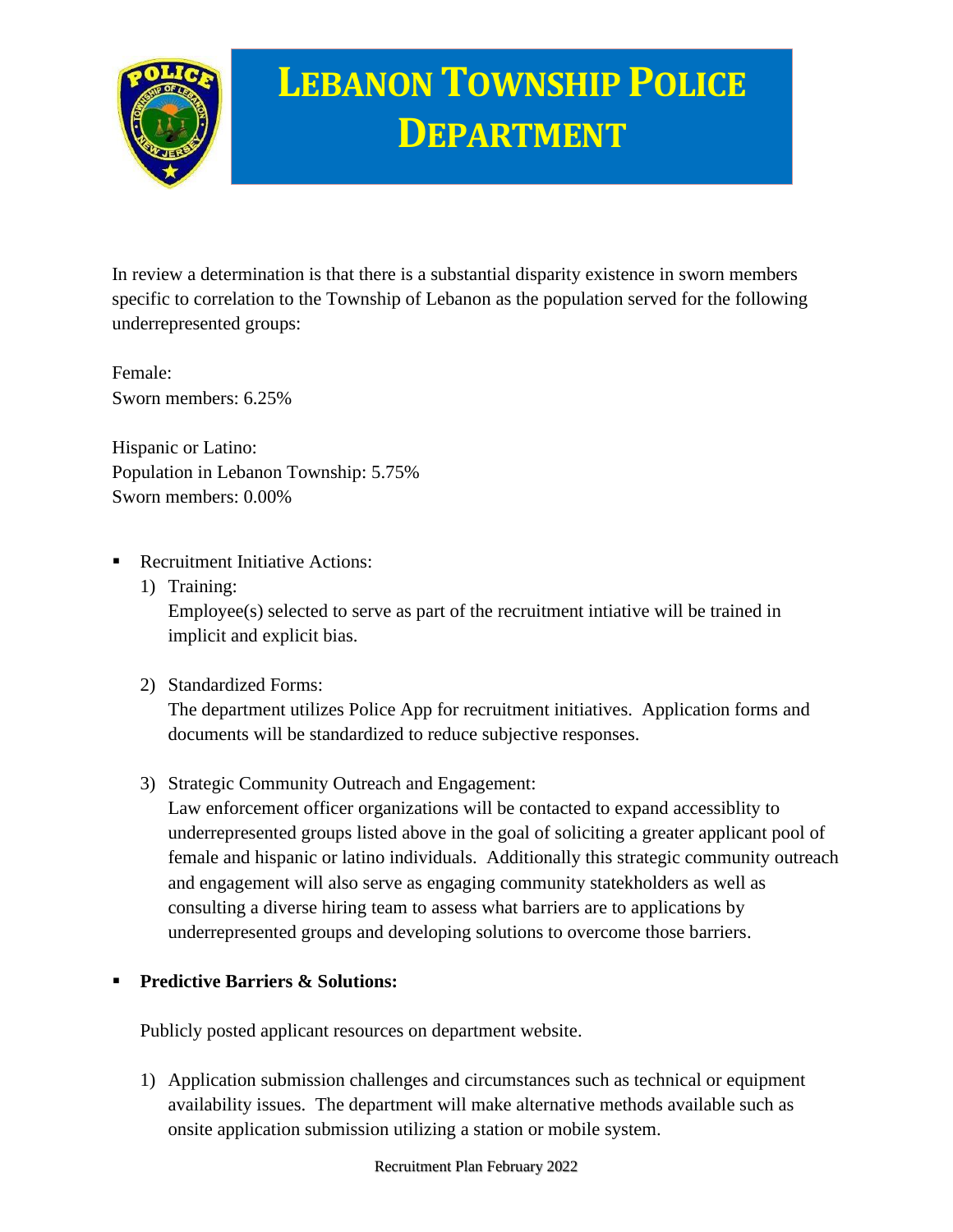

# **LEBANON TOWNSHIP POLICE DEPARTMENT**

In review a determination is that there is a substantial disparity existence in sworn members specific to correlation to the Township of Lebanon as the population served for the following underrepresented groups:

Female: Sworn members: 6.25%

Hispanic or Latino: Population in Lebanon Township: 5.75% Sworn members: 0.00%

- **Recruitment Initiative Actions:** 
	- 1) Training: Employee(s) selected to serve as part of the recruitment intiative will be trained in implicit and explicit bias.
	- 2) Standardized Forms:

The department utilizes Police App for recruitment initiatives. Application forms and documents will be standardized to reduce subjective responses.

3) Strategic Community Outreach and Engagement:

Law enforcement officer organizations will be contacted to expand accessiblity to underrepresented groups listed above in the goal of soliciting a greater applicant pool of female and hispanic or latino individuals. Additionally this strategic community outreach and engagement will also serve as engaging community statekholders as well as consulting a diverse hiring team to assess what barriers are to applications by underrepresented groups and developing solutions to overcome those barriers.

#### **Predictive Barriers & Solutions:**

Publicly posted applicant resources on department website.

1) Application submission challenges and circumstances such as technical or equipment availability issues. The department will make alternative methods available such as onsite application submission utilizing a station or mobile system.